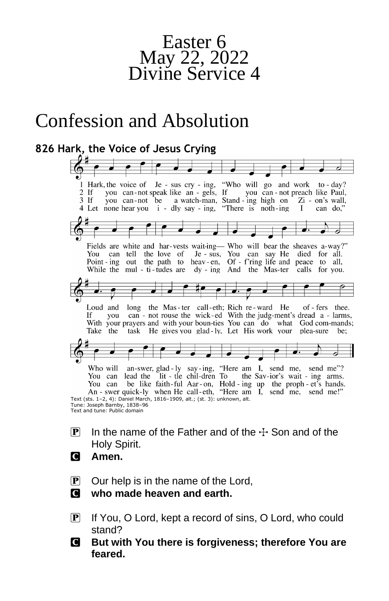

# Confession and Absolution

#### **826 Hark, the Voice of Jesus Crying** I Hark, the voice of Je - sus cry - ing, "Who will go and work to - day?<br>2 If you can - not speak like an - gels, If you can - not preach like Paul,  $2$  If  $\overline{3}$  If you can not be a watch-man, Stand - ing high on Zi - on's wall, "There is noth-ing 4 Let none hear you i - dly say - ing.  $\bf{I}$ can do. Fields are white and har-vests wait-ing— Who will bear the sheaves a-way?" Je - sus, You can say He died for all. You can tell the love of Point-ing out the path to heav-en, Of-f'ring life and peace to all, While the mul - ti-tudes are dy - ing And the Mas-ter calls for you. of - fers thee. Loud and long the Mas-ter call-eth; Rich re-ward He can - not rouse the wick-ed With the judg-ment's dread a - larms, If. you With your prayers and with your boun-ties You can do what God com-mands; Take the task He gives you glad-ly, Let His work your plea-sure be; Who will an-swer, glad-ly say-ing, "Here am I, send me, send me"?<br>You can lead the lit - tle chil-dren To the Sav-ior's wait - ing arms. the Sav-ior's wait - ing arms. You can be like faith-ful Aar-on, Hold-ing up the proph-et's hands.<br>An - swer quick-ly when He call-eth, "Here am I, send me, send me!" Text (sts. 1–2, 4): Daniel March, 1816–1909, alt.; (st. 3): unknown, alt. Tune: Joseph Barnby, 1838–96 Text and tune: Public domain

- **P** In the name of the Father and of the  $\pm$  Son and of the Holy Spirit.
- C **Amen.**
- $\mathbf{P}$  Our help is in the name of the Lord,
- C **who made heaven and earth.**
- P If You, O Lord, kept a record of sins, O Lord, who could stand?
- C **But with You there is forgiveness; therefore You are feared.**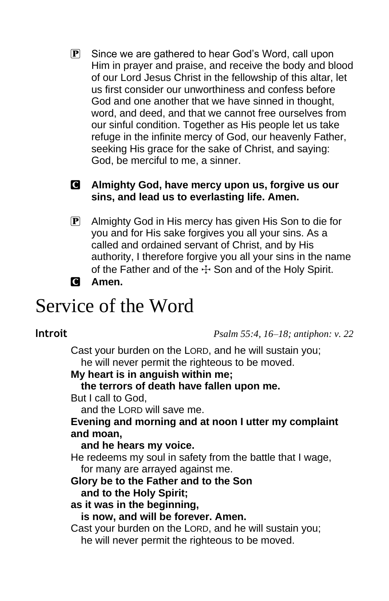$\mathbf{P}$  Since we are gathered to hear God's Word, call upon Him in prayer and praise, and receive the body and blood of our Lord Jesus Christ in the fellowship of this altar, let us first consider our unworthiness and confess before God and one another that we have sinned in thought, word, and deed, and that we cannot free ourselves from our sinful condition. Together as His people let us take refuge in the infinite mercy of God, our heavenly Father, seeking His grace for the sake of Christ, and saying: God, be merciful to me, a sinner.

# C **Almighty God, have mercy upon us, forgive us our sins, and lead us to everlasting life. Amen.**

- P Almighty God in His mercy has given His Son to die for you and for His sake forgives you all your sins. As a called and ordained servant of Christ, and by His authority, I therefore forgive you all your sins in the name of the Father and of the  $\pm$  Son and of the Holy Spirit.
- C **Amen.**

# Service of the Word

**Introit** *Psalm 55:4, 16–18; antiphon: v. 22*

Cast your burden on the LORD, and he will sustain you; he will never permit the righteous to be moved.

**My heart is in anguish within me;**

**the terrors of death have fallen upon me.**

But I call to God,

and the LORD will save me.

# **Evening and morning and at noon I utter my complaint and moan,**

#### **and he hears my voice.**

He redeems my soul in safety from the battle that I wage, for many are arrayed against me.

#### **Glory be to the Father and to the Son**

#### **and to the Holy Spirit;**

#### **as it was in the beginning,**

**is now, and will be forever. Amen.**

Cast your burden on the LORD, and he will sustain you; he will never permit the righteous to be moved.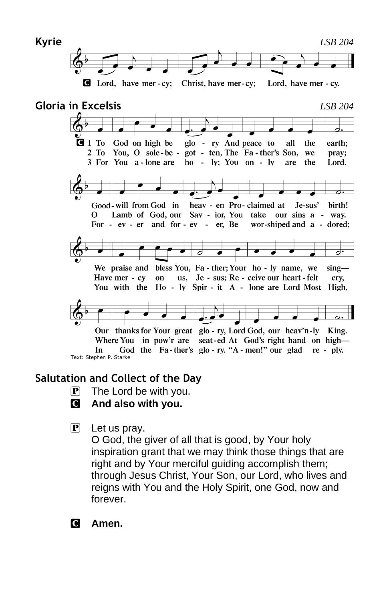



# **Salutation and Collect of the Day**

- $\mathbf{P}$  The Lord be with you.
- C **And also with you.**
- $\mathbf{P}$  Let us pray.

O God, the giver of all that is good, by Your holy inspiration grant that we may think those things that are right and by Your merciful guiding accomplish them; through Jesus Christ, Your Son, our Lord, who lives and reigns with You and the Holy Spirit, one God, now and forever.

C **Amen.**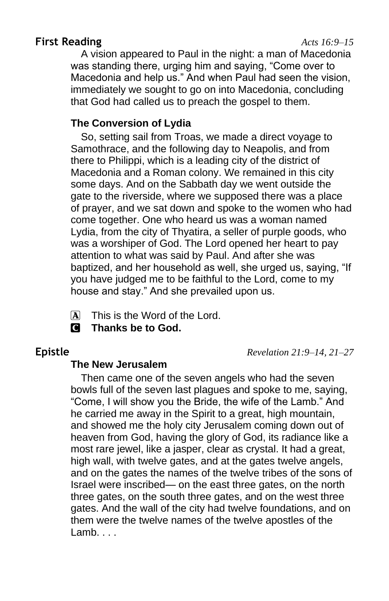# **First Reading** *Acts 16:9–15*

A vision appeared to Paul in the night: a man of Macedonia was standing there, urging him and saying, "Come over to Macedonia and help us." And when Paul had seen the vision, immediately we sought to go on into Macedonia, concluding that God had called us to preach the gospel to them.

#### **The Conversion of Lydia**

So, setting sail from Troas, we made a direct voyage to Samothrace, and the following day to Neapolis, and from there to Philippi, which is a leading city of the district of Macedonia and a Roman colony. We remained in this city some days. And on the Sabbath day we went outside the gate to the riverside, where we supposed there was a place of prayer, and we sat down and spoke to the women who had come together. One who heard us was a woman named Lydia, from the city of Thyatira, a seller of purple goods, who was a worshiper of God. The Lord opened her heart to pay attention to what was said by Paul. And after she was baptized, and her household as well, she urged us, saying, "If you have judged me to be faithful to the Lord, come to my house and stay." And she prevailed upon us.

- 
- $\overline{A}$  This is the Word of the Lord.
- C **Thanks be to God.**

**Epistle** *Revelation 21:9–14, 21–27*

### **The New Jerusalem**

Then came one of the seven angels who had the seven bowls full of the seven last plagues and spoke to me, saying, "Come, I will show you the Bride, the wife of the Lamb." And he carried me away in the Spirit to a great, high mountain, and showed me the holy city Jerusalem coming down out of heaven from God, having the glory of God, its radiance like a most rare jewel, like a jasper, clear as crystal. It had a great, high wall, with twelve gates, and at the gates twelve angels, and on the gates the names of the twelve tribes of the sons of Israel were inscribed— on the east three gates, on the north three gates, on the south three gates, and on the west three gates. And the wall of the city had twelve foundations, and on them were the twelve names of the twelve apostles of the Lamb.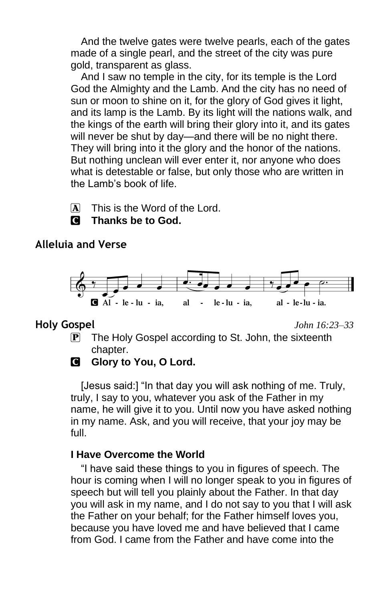And the twelve gates were twelve pearls, each of the gates made of a single pearl, and the street of the city was pure gold, transparent as glass.

And I saw no temple in the city, for its temple is the Lord God the Almighty and the Lamb. And the city has no need of sun or moon to shine on it, for the glory of God gives it light, and its lamp is the Lamb. By its light will the nations walk, and the kings of the earth will bring their glory into it, and its gates will never be shut by day—and there will be no night there. They will bring into it the glory and the honor of the nations. But nothing unclean will ever enter it, nor anyone who does what is detestable or false, but only those who are written in the Lamb's book of life.

 $\overline{A}$  This is the Word of the Lord.

# C **Thanks be to God.**

### **Alleluia and Verse**



**Holy Gospel** *John 16:23–33*

 $\mathbf{P}$  The Holy Gospel according to St. John, the sixteenth chapter.

# **G** Glory to You, O Lord.

[Jesus said:] "In that day you will ask nothing of me. Truly, truly, I say to you, whatever you ask of the Father in my name, he will give it to you. Until now you have asked nothing in my name. Ask, and you will receive, that your joy may be full.

# **I Have Overcome the World**

"I have said these things to you in figures of speech. The hour is coming when I will no longer speak to you in figures of speech but will tell you plainly about the Father. In that day you will ask in my name, and I do not say to you that I will ask the Father on your behalf; for the Father himself loves you, because you have loved me and have believed that I came from God. I came from the Father and have come into the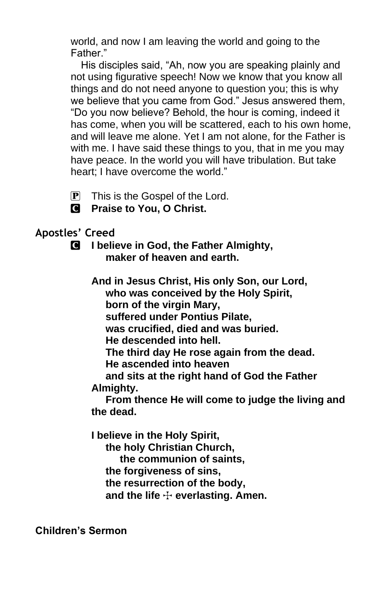world, and now I am leaving the world and going to the Father."

His disciples said, "Ah, now you are speaking plainly and not using figurative speech! Now we know that you know all things and do not need anyone to question you; this is why we believe that you came from God." Jesus answered them, "Do you now believe? Behold, the hour is coming, indeed it has come, when you will be scattered, each to his own home, and will leave me alone. Yet I am not alone, for the Father is with me. I have said these things to you, that in me you may have peace. In the world you will have tribulation. But take heart; I have overcome the world."

- $\overline{P}$  This is the Gospel of the Lord.
- C **Praise to You, O Christ.**

# **Apostles' Creed**

C **I believe in God, the Father Almighty, maker of heaven and earth.**

> **And in Jesus Christ, His only Son, our Lord, who was conceived by the Holy Spirit, born of the virgin Mary, suffered under Pontius Pilate, was crucified, died and was buried. He descended into hell. The third day He rose again from the dead. He ascended into heaven and sits at the right hand of God the Father Almighty. From thence He will come to judge the living and**

**the dead.**

**I believe in the Holy Spirit,**

 **the holy Christian Church,**

 **the communion of saints,**

 **the forgiveness of sins,**

 **the resurrection of the body,**

 **and the life** T **everlasting. Amen.**

**Children's Sermon**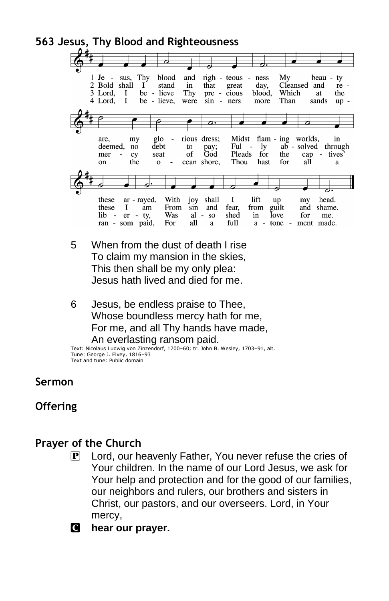**563 Jesus, Thy Blood and Righteousness** Thy  $1$  Je blood  $\n **right**$ My sus, and teous ness beau ty 2 Bold shall stand day, <sup>1</sup> in that great Cleansed and re -3 Lord, be - lieve  $\bf{I}$ Thy pre - cious blood, Which at the 4 Lord, 1 be - lieve, were  $sin - ners$ more Than sands  $up -$ ರ: z z glo are, rious dress; Midst flam - ing worlds, in my deemed, debt to pay; Ful ly ab - solved through no  $\sim$ mer cy seat of God Pleads for the cap - tives on the  $\mathbf{o}$ cean shore, Thou hast for all  $\mathbf{a}$  $\mathbf I$ these ar - rayed, With joy shall lift up my head. these I am From sin and fear, from guilt and shame.  $lib - er$ Was - ty,  $al - so$ shed in love for me. ran - som paid, For all a full  $a - tone$  $\overline{\phantom{a}}$ ment made.

- 5 When from the dust of death I rise To claim my mansion in the skies, This then shall be my only plea: Jesus hath lived and died for me.
- 6 Jesus, be endless praise to Thee, Whose boundless mercy hath for me, For me, and all Thy hands have made, An everlasting ransom paid.

Text: Nicolaus Ludwig von Zinzendorf, 1700–60; tr. John B. Wesley, 1703–91, alt. Tune: George J. Elvey, 1816–93 Text and tune: Public domain

# **Sermon**

# **Offering**

# **Prayer of the Church**

- P Lord, our heavenly Father, You never refuse the cries of Your children. In the name of our Lord Jesus, we ask for Your help and protection and for the good of our families, our neighbors and rulers, our brothers and sisters in Christ, our pastors, and our overseers. Lord, in Your mercy,
- C **hear our prayer.**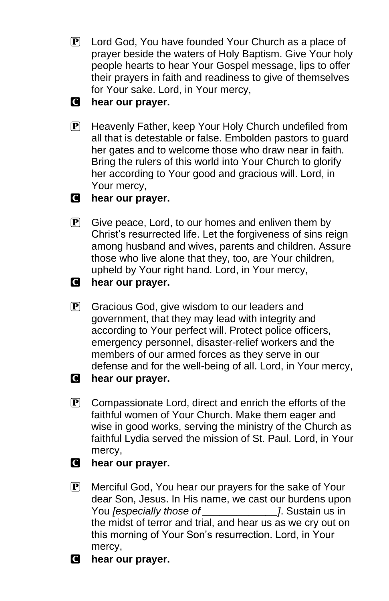**P** Lord God, You have founded Your Church as a place of prayer beside the waters of Holy Baptism. Give Your holy people hearts to hear Your Gospel message, lips to offer their prayers in faith and readiness to give of themselves for Your sake. Lord, in Your mercy,

# C **hear our prayer.**

P Heavenly Father, keep Your Holy Church undefiled from all that is detestable or false. Embolden pastors to guard her gates and to welcome those who draw near in faith. Bring the rulers of this world into Your Church to glorify her according to Your good and gracious will. Lord, in Your mercy,

# C **hear our prayer.**

- $\mathbf{P}$  Give peace, Lord, to our homes and enliven them by Christ's resurrected life. Let the forgiveness of sins reign among husband and wives, parents and children. Assure those who live alone that they, too, are Your children, upheld by Your right hand. Lord, in Your mercy,
- C **hear our prayer.**
- P Gracious God, give wisdom to our leaders and government, that they may lead with integrity and according to Your perfect will. Protect police officers, emergency personnel, disaster-relief workers and the members of our armed forces as they serve in our defense and for the well-being of all. Lord, in Your mercy,
- C **hear our prayer.**
- $\mathbf{P}$  Compassionate Lord, direct and enrich the efforts of the faithful women of Your Church. Make them eager and wise in good works, serving the ministry of the Church as faithful Lydia served the mission of St. Paul. Lord, in Your mercy,
- C **hear our prayer.**
- P Merciful God, You hear our prayers for the sake of Your dear Son, Jesus. In His name, we cast our burdens upon You *[especially those of \_\_\_\_\_\_\_\_\_\_\_\_\_]*. Sustain us in the midst of terror and trial, and hear us as we cry out on this morning of Your Son's resurrection. Lord, in Your mercy,
- C **hear our prayer.**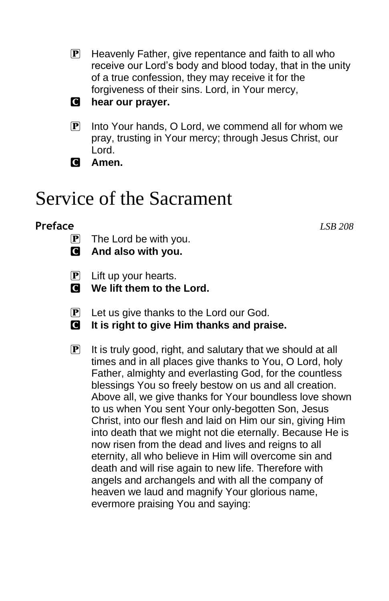- $\mathbb{P}$  Heavenly Father, give repentance and faith to all who receive our Lord's body and blood today, that in the unity of a true confession, they may receive it for the forgiveness of their sins. Lord, in Your mercy,
- C **hear our prayer.**
- $\left| \mathbf{P} \right|$  Into Your hands, O Lord, we commend all for whom we pray, trusting in Your mercy; through Jesus Christ, our Lord.
- C **Amen.**

# Service of the Sacrament

#### **Preface** *LSB 208*

- $\overline{P}$  The Lord be with you.
- C **And also with you.**
- $\left| \mathbf{P} \right|$  Lift up your hearts.
- $\blacksquare$  We lift them to the Lord.
- $\left| \mathbf{P} \right|$  Let us give thanks to the Lord our God.
- C **It is right to give Him thanks and praise.**
- $\mathbf{P}$  It is truly good, right, and salutary that we should at all times and in all places give thanks to You, O Lord, holy Father, almighty and everlasting God, for the countless blessings You so freely bestow on us and all creation. Above all, we give thanks for Your boundless love shown to us when You sent Your only-begotten Son, Jesus Christ, into our flesh and laid on Him our sin, giving Him into death that we might not die eternally. Because He is now risen from the dead and lives and reigns to all eternity, all who believe in Him will overcome sin and death and will rise again to new life. Therefore with angels and archangels and with all the company of heaven we laud and magnify Your glorious name, evermore praising You and saying: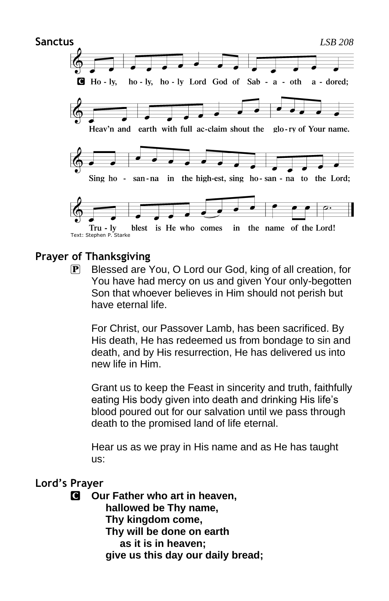

# **Prayer of Thanksgiving**

P Blessed are You, O Lord our God, king of all creation, for You have had mercy on us and given Your only-begotten Son that whoever believes in Him should not perish but have eternal life.

For Christ, our Passover Lamb, has been sacrificed. By His death, He has redeemed us from bondage to sin and death, and by His resurrection, He has delivered us into new life in Him.

Grant us to keep the Feast in sincerity and truth, faithfully eating His body given into death and drinking His life's blood poured out for our salvation until we pass through death to the promised land of life eternal.

Hear us as we pray in His name and as He has taught us:

#### **Lord's Prayer**

C **Our Father who art in heaven, hallowed be Thy name, Thy kingdom come, Thy will be done on earth as it is in heaven; give us this day our daily bread;**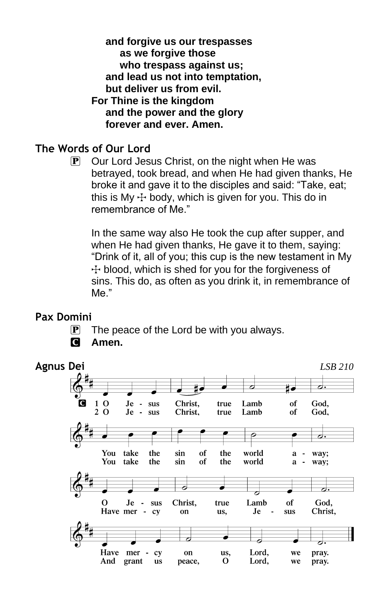**and forgive us our trespasses as we forgive those who trespass against us; and lead us not into temptation, but deliver us from evil. For Thine is the kingdom and the power and the glory forever and ever. Amen.**

# **The Words of Our Lord**

 $\mathbf{P}$  Our Lord Jesus Christ, on the night when He was betrayed, took bread, and when He had given thanks, He broke it and gave it to the disciples and said: "Take, eat; this is My  $\pm$  body, which is given for you. This do in remembrance of Me."

In the same way also He took the cup after supper, and when He had given thanks, He gave it to them, saying: "Drink of it, all of you; this cup is the new testament in My  $+$  blood, which is shed for you for the forgiveness of sins. This do, as often as you drink it, in remembrance of Me."

# **Pax Domini**

 $\mathbf{P}$  The peace of the Lord be with you always.

#### C **Amen.**

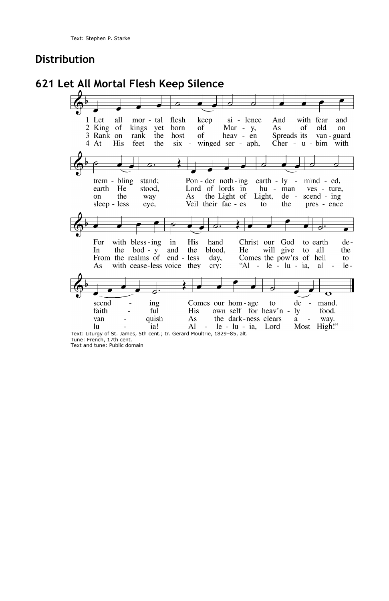### **Distribution**

**621 Let All Mortal Flesh Keep Silence**  $\overline{c}$ 1 Let all mor - tal flesh keep si - lence And with fear and 2 King of kings yet born of  $Mar - y$ , As of old on 3 Rank on of  $h$ eav - en<br>winged ser - aph, rank the host Spreads its van - guard 4 At His feet the  $six -$ Cher -  $u$  -  $b$ im with trem - bling stand; Pon - der noth-ing earth - ly - mind - ed, earth He stood, Lord of lords in hu - man ves - ture, on the way As the Light of Light,  $de$ scend - ing Veil their fac - es sleep - less eye, to the pres - ence 4 For with bless-ing in His hand Christ our God to earth de-In the  $bod - y$ and the blood, He will give to all the From the realms of end - less Comes the pow'rs of hell day, to with cease-less voice they "Al -  $le$  -  $lu$  -  $ia$ , al  $le -$ As cry: ing scend Comes our hom-age  $f<sub>O</sub>$ de ÷. mand. faith ful His own self for heav'n ly food. quish the dark-ness clears van As  $\mathbf{a}$ way. Most High!"  $\ln$ ia! Al  $le - lu - ia$ , Lord Text: Liturgy of St. James, 5th cent.; tr. Gerard Moultrie, 1829–85, alt. Tune: French, 17th cent.

Text and tune: Public domain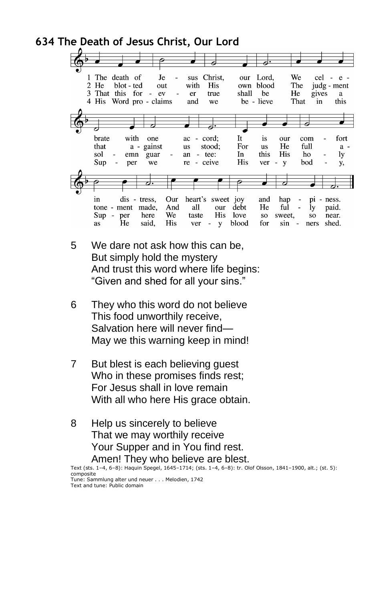### **634 The Death of Jesus Christ, Our Lord**



- 5 We dare not ask how this can be, But simply hold the mystery And trust this word where life begins: "Given and shed for all your sins."
- 6 They who this word do not believe This food unworthily receive, Salvation here will never find— May we this warning keep in mind!
- 7 But blest is each believing guest Who in these promises finds rest; For Jesus shall in love remain With all who here His grace obtain.
- 8 Help us sincerely to believe That we may worthily receive Your Supper and in You find rest. Amen! They who believe are blest.

Text (sts. 1–4, 6–8): Haquin Spegel, 1645–1714; (sts. 1–4, 6–8): tr. Olof Olsson, 1841–1900, alt.; (st. 5): composite Tune: Sammlung alter und neuer . . . Melodien, 1742 Text and tune: Public domain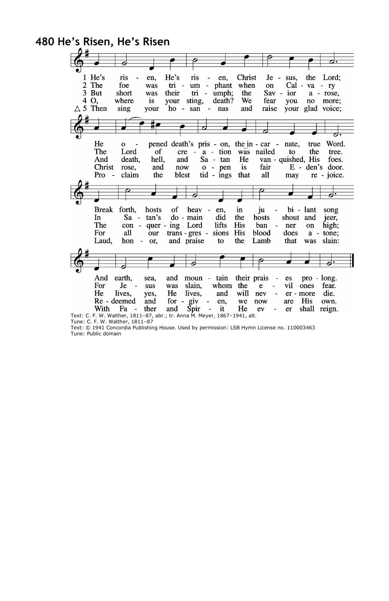

Tune: C. F. W. Walther, 1811–87

Text: © 1941 Concordia Publishing House. Used by permission: LSB Hymn License no. 110003463 Tune: Public domain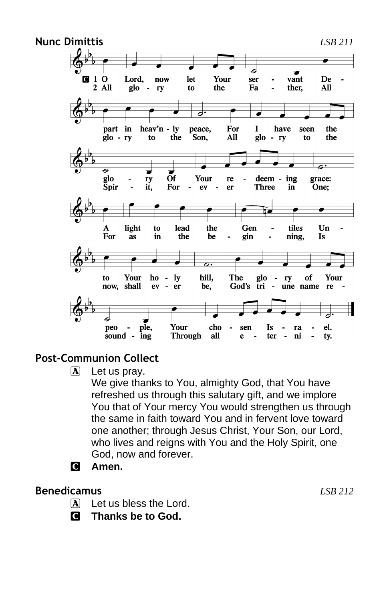

# **Post-Communion Collect**

 $\boxed{\mathbf{A}}$  Let us pray.

We give thanks to You, almighty God, that You have refreshed us through this salutary gift, and we implore You that of Your mercy You would strengthen us through the same in faith toward You and in fervent love toward one another; through Jesus Christ, Your Son, our Lord, who lives and reigns with You and the Holy Spirit, one God, now and forever.

C **Amen.**

# **Benedicamus** *LSB 212*

- $\mathbf{\overline{A}}$  Let us bless the Lord.
- C **Thanks be to God.**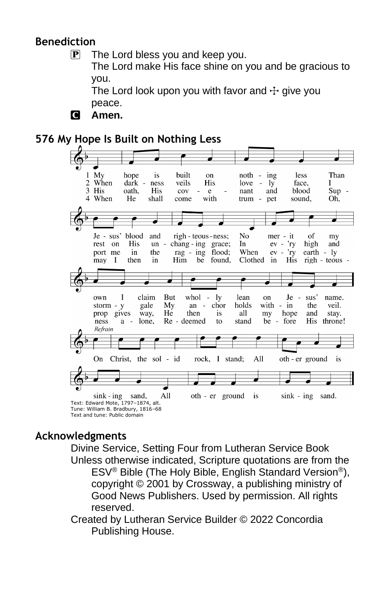# **Benediction**

 $\mathbf{P}$  The Lord bless you and keep you.

The Lord make His face shine on you and be gracious to you.

The Lord look upon you with favor and  $\pm$  give you peace.

C **Amen.**

# **576 My Hope Is Built on Nothing Less**



# **Acknowledgments**

Divine Service, Setting Four from Lutheran Service Book Unless otherwise indicated, Scripture quotations are from the ESV® Bible (The Holy Bible, English Standard Version®), copyright © 2001 by Crossway, a publishing ministry of Good News Publishers. Used by permission. All rights reserved.

Created by Lutheran Service Builder © 2022 Concordia Publishing House.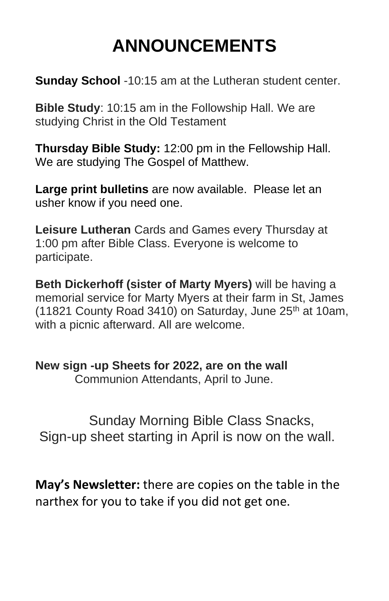# **ANNOUNCEMENTS**

**Sunday School** -10:15 am at the Lutheran student center.

**Bible Study**: 10:15 am in the Followship Hall. We are studying Christ in the Old Testament

**Thursday Bible Study:** 12:00 pm in the Fellowship Hall. We are studying The Gospel of Matthew.

**Large print bulletins** are now available. Please let an usher know if you need one.

**Leisure Lutheran** Cards and Games every Thursday at 1:00 pm after Bible Class. Everyone is welcome to participate.

**Beth Dickerhoff (sister of Marty Myers)** will be having a memorial service for Marty Myers at their farm in St, James (11821 County Road 3410) on Saturday, June  $25<sup>th</sup>$  at 10am, with a picnic afterward. All are welcome.

**New sign -up Sheets for 2022, are on the wall**

Communion Attendants, April to June.

 Sunday Morning Bible Class Snacks, Sign-up sheet starting in April is now on the wall.

**May's Newsletter:** there are copies on the table in the narthex for you to take if you did not get one.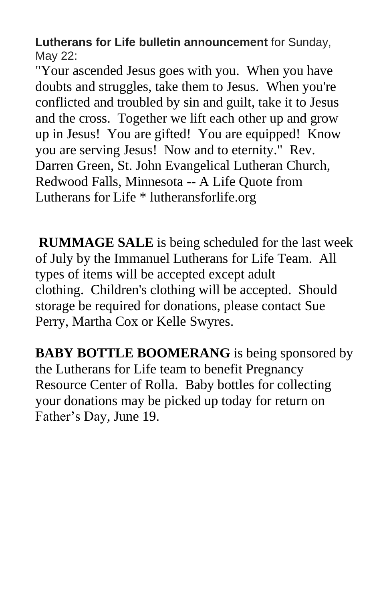**Lutherans for Life bulletin announcement** for Sunday, May 22:

"Your ascended Jesus goes with you. When you have doubts and struggles, take them to Jesus. When you're conflicted and troubled by sin and guilt, take it to Jesus and the cross. Together we lift each other up and grow up in Jesus! You are gifted! You are equipped! Know you are serving Jesus! Now and to eternity." Rev. Darren Green, St. John Evangelical Lutheran Church, Redwood Falls, Minnesota -- A Life Quote from Lutherans for Life \* lutheransforlife.org

**RUMMAGE SALE** is being scheduled for the last week of July by the Immanuel Lutherans for Life Team. All types of items will be accepted except adult clothing. Children's clothing will be accepted. Should storage be required for donations, please contact Sue Perry, Martha Cox or Kelle Swyres.

**BABY BOTTLE BOOMERANG** is being sponsored by the Lutherans for Life team to benefit Pregnancy Resource Center of Rolla. Baby bottles for collecting your donations may be picked up today for return on Father's Day, June 19.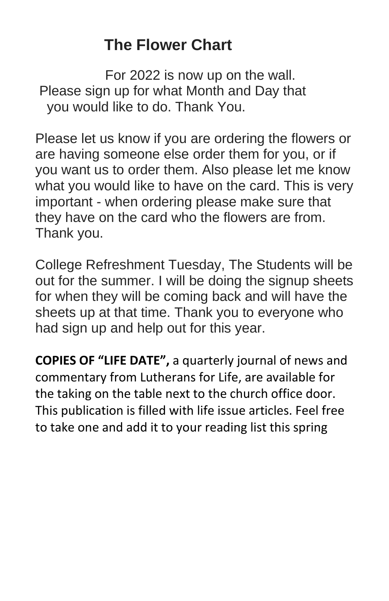# **The Flower Chart**

For 2022 is now up on the wall. Please sign up for what Month and Day that you would like to do. Thank You.

Please let us know if you are ordering the flowers or are having someone else order them for you, or if you want us to order them. Also please let me know what you would like to have on the card. This is very important - when ordering please make sure that they have on the card who the flowers are from. Thank you.

College Refreshment Tuesday, The Students will be out for the summer. I will be doing the signup sheets for when they will be coming back and will have the sheets up at that time. Thank you to everyone who had sign up and help out for this year.

**COPIES OF "LIFE DATE",** a quarterly journal of news and commentary from Lutherans for Life, are available for the taking on the table next to the church office door. This publication is filled with life issue articles. Feel free to take one and add it to your reading list this spring